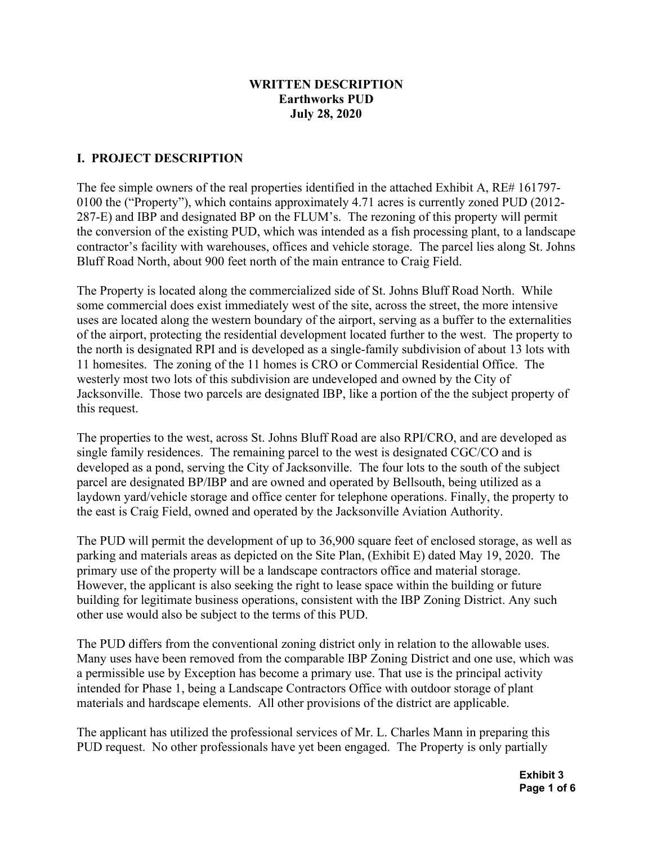# **WRITTEN DESCRIPTION Earthworks PUD July 28, 2020**

# **I. PROJECT DESCRIPTION**

The fee simple owners of the real properties identified in the attached Exhibit A, RE# 161797- 0100 the ("Property"), which contains approximately 4.71 acres is currently zoned PUD (2012- 287-E) and IBP and designated BP on the FLUM's. The rezoning of this property will permit the conversion of the existing PUD, which was intended as a fish processing plant, to a landscape contractor's facility with warehouses, offices and vehicle storage. The parcel lies along St. Johns Bluff Road North, about 900 feet north of the main entrance to Craig Field.

The Property is located along the commercialized side of St. Johns Bluff Road North. While some commercial does exist immediately west of the site, across the street, the more intensive uses are located along the western boundary of the airport, serving as a buffer to the externalities of the airport, protecting the residential development located further to the west. The property to the north is designated RPI and is developed as a single-family subdivision of about 13 lots with 11 homesites. The zoning of the 11 homes is CRO or Commercial Residential Office. The westerly most two lots of this subdivision are undeveloped and owned by the City of Jacksonville. Those two parcels are designated IBP, like a portion of the the subject property of this request.

The properties to the west, across St. Johns Bluff Road are also RPI/CRO, and are developed as single family residences. The remaining parcel to the west is designated CGC/CO and is developed as a pond, serving the City of Jacksonville. The four lots to the south of the subject parcel are designated BP/IBP and are owned and operated by Bellsouth, being utilized as a laydown yard/vehicle storage and office center for telephone operations. Finally, the property to the east is Craig Field, owned and operated by the Jacksonville Aviation Authority.

The PUD will permit the development of up to 36,900 square feet of enclosed storage, as well as parking and materials areas as depicted on the Site Plan, (Exhibit E) dated May 19, 2020. The primary use of the property will be a landscape contractors office and material storage. However, the applicant is also seeking the right to lease space within the building or future building for legitimate business operations, consistent with the IBP Zoning District. Any such other use would also be subject to the terms of this PUD.

The PUD differs from the conventional zoning district only in relation to the allowable uses. Many uses have been removed from the comparable IBP Zoning District and one use, which was a permissible use by Exception has become a primary use. That use is the principal activity intended for Phase 1, being a Landscape Contractors Office with outdoor storage of plant materials and hardscape elements. All other provisions of the district are applicable.

The applicant has utilized the professional services of Mr. L. Charles Mann in preparing this PUD request. No other professionals have yet been engaged. The Property is only partially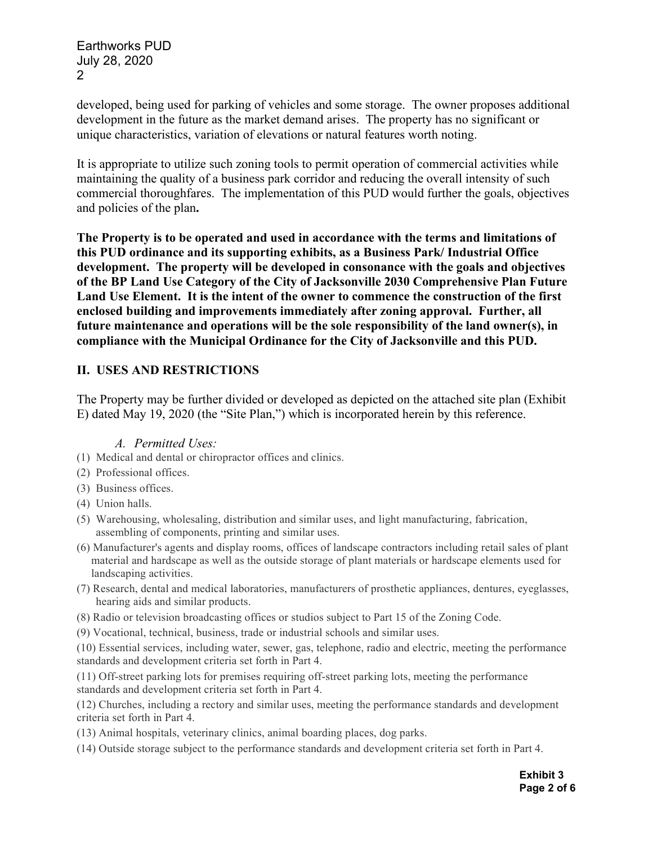Earthworks PUD July 28, 2020 2

developed, being used for parking of vehicles and some storage. The owner proposes additional development in the future as the market demand arises. The property has no significant or unique characteristics, variation of elevations or natural features worth noting.

It is appropriate to utilize such zoning tools to permit operation of commercial activities while maintaining the quality of a business park corridor and reducing the overall intensity of such commercial thoroughfares. The implementation of this PUD would further the goals, objectives and policies of the plan**.** 

**The Property is to be operated and used in accordance with the terms and limitations of this PUD ordinance and its supporting exhibits, as a Business Park/ Industrial Office development. The property will be developed in consonance with the goals and objectives of the BP Land Use Category of the City of Jacksonville 2030 Comprehensive Plan Future Land Use Element. It is the intent of the owner to commence the construction of the first enclosed building and improvements immediately after zoning approval. Further, all future maintenance and operations will be the sole responsibility of the land owner(s), in compliance with the Municipal Ordinance for the City of Jacksonville and this PUD.** 

## **II. USES AND RESTRICTIONS**

The Property may be further divided or developed as depicted on the attached site plan (Exhibit E) dated May 19, 2020 (the "Site Plan,") which is incorporated herein by this reference.

#### *A. Permitted Uses:*

- (1) Medical and dental or chiropractor offices and clinics.
- (2) Professional offices.
- (3) Business offices.
- (4) Union halls.
- (5) Warehousing, wholesaling, distribution and similar uses, and light manufacturing, fabrication, assembling of components, printing and similar uses.
- (6) Manufacturer's agents and display rooms, offices of landscape contractors including retail sales of plant material and hardscape as well as the outside storage of plant materials or hardscape elements used for landscaping activities.
- (7) Research, dental and medical laboratories, manufacturers of prosthetic appliances, dentures, eyeglasses, hearing aids and similar products.
- (8) Radio or television broadcasting offices or studios subject to Part 15 of the Zoning Code.
- (9) Vocational, technical, business, trade or industrial schools and similar uses.

(10) Essential services, including water, sewer, gas, telephone, radio and electric, meeting the performance standards and development criteria set forth in Part 4.

(11) Off-street parking lots for premises requiring off-street parking lots, meeting the performance standards and development criteria set forth in Part 4.

(12) Churches, including a rectory and similar uses, meeting the performance standards and development criteria set forth in Part 4.

- (13) Animal hospitals, veterinary clinics, animal boarding places, dog parks.
- (14) Outside storage subject to the performance standards and development criteria set forth in Part 4.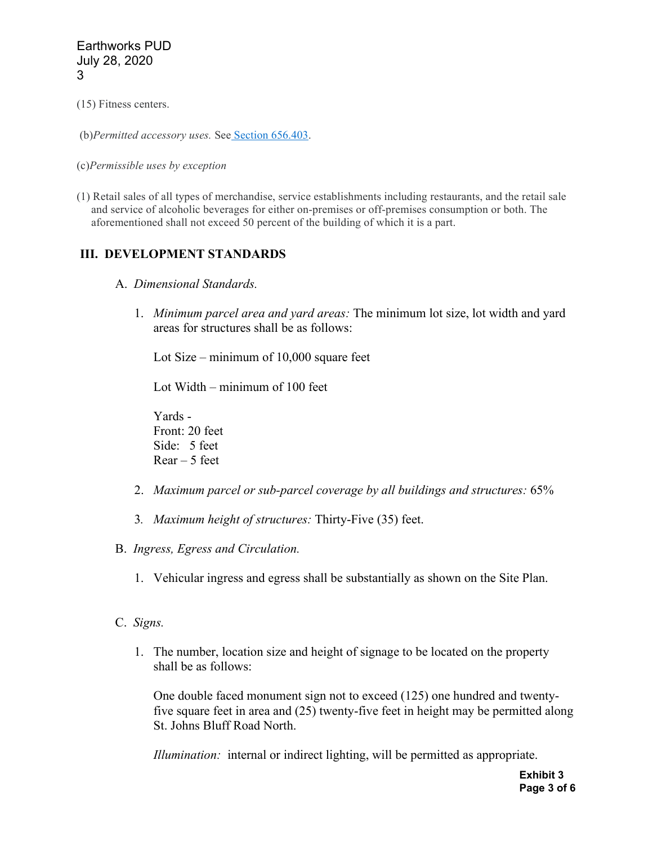(15) Fitness centers.

(b)*Permitted accessory uses.* See [Section 656.403.](https://library.municode.com/fl/jacksonville/codes/code_of_ordinances?nodeId=ZOSE_CH656ZOCO_PT4SURE_SPBMIRE_S656.403ACUSST)

#### (c)*Permissible uses by exception*

(1) Retail sales of all types of merchandise, service establishments including restaurants, and the retail sale and service of alcoholic beverages for either on-premises or off-premises consumption or both. The aforementioned shall not exceed 50 percent of the building of which it is a part.

#### **III. DEVELOPMENT STANDARDS**

- A. *Dimensional Standards.*
	- 1. *Minimum parcel area and yard areas:* The minimum lot size, lot width and yard areas for structures shall be as follows:

Lot Size – minimum of 10,000 square feet

Lot Width – minimum of 100 feet

Yards - Front: 20 feet Side: 5 feet  $Rear - 5$  feet

- 2. *Maximum parcel or sub-parcel coverage by all buildings and structures:* 65%
- 3*. Maximum height of structures:* Thirty-Five (35) feet.
- B. *Ingress, Egress and Circulation.*
	- 1. Vehicular ingress and egress shall be substantially as shown on the Site Plan.
- C. *Signs.*
	- 1. The number, location size and height of signage to be located on the property shall be as follows:

One double faced monument sign not to exceed (125) one hundred and twentyfive square feet in area and (25) twenty-five feet in height may be permitted along St. Johns Bluff Road North.

*Illumination:* internal or indirect lighting, will be permitted as appropriate.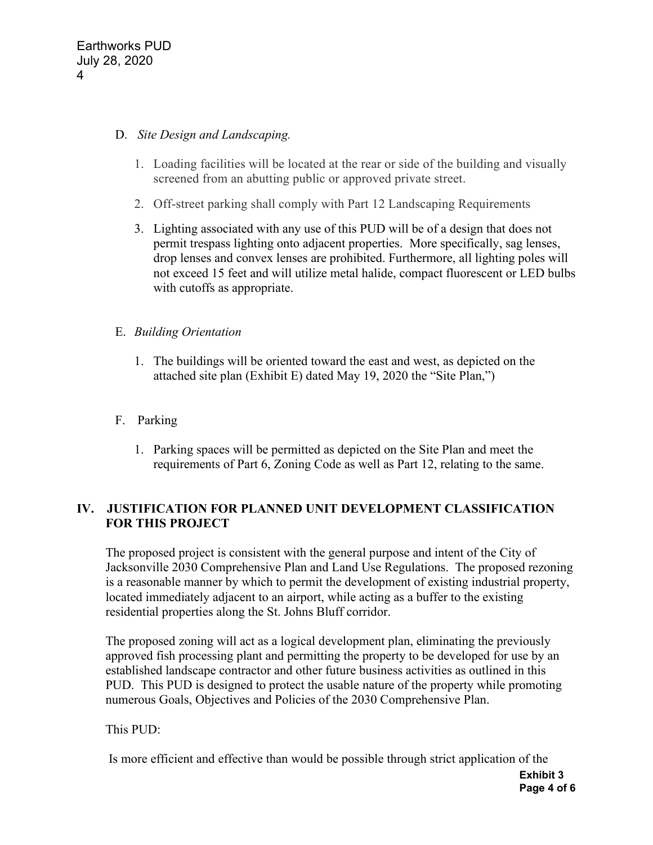## D. *Site Design and Landscaping.*

- 1. Loading facilities will be located at the rear or side of the building and visually screened from an abutting public or approved private street.
- 2. Off-street parking shall comply with Part 12 Landscaping Requirements
- 3. Lighting associated with any use of this PUD will be of a design that does not permit trespass lighting onto adjacent properties. More specifically, sag lenses, drop lenses and convex lenses are prohibited. Furthermore, all lighting poles will not exceed 15 feet and will utilize metal halide, compact fluorescent or LED bulbs with cutoffs as appropriate.

## E. *Building Orientation*

- 1. The buildings will be oriented toward the east and west, as depicted on the attached site plan (Exhibit E) dated May 19, 2020 the "Site Plan,")
- F. Parking
	- 1. Parking spaces will be permitted as depicted on the Site Plan and meet the requirements of Part 6, Zoning Code as well as Part 12, relating to the same.

# **IV. JUSTIFICATION FOR PLANNED UNIT DEVELOPMENT CLASSIFICATION FOR THIS PROJECT**

The proposed project is consistent with the general purpose and intent of the City of Jacksonville 2030 Comprehensive Plan and Land Use Regulations. The proposed rezoning is a reasonable manner by which to permit the development of existing industrial property, located immediately adjacent to an airport, while acting as a buffer to the existing residential properties along the St. Johns Bluff corridor.

The proposed zoning will act as a logical development plan, eliminating the previously approved fish processing plant and permitting the property to be developed for use by an established landscape contractor and other future business activities as outlined in this PUD. This PUD is designed to protect the usable nature of the property while promoting numerous Goals, Objectives and Policies of the 2030 Comprehensive Plan.

This PUD:

Is more efficient and effective than would be possible through strict application of the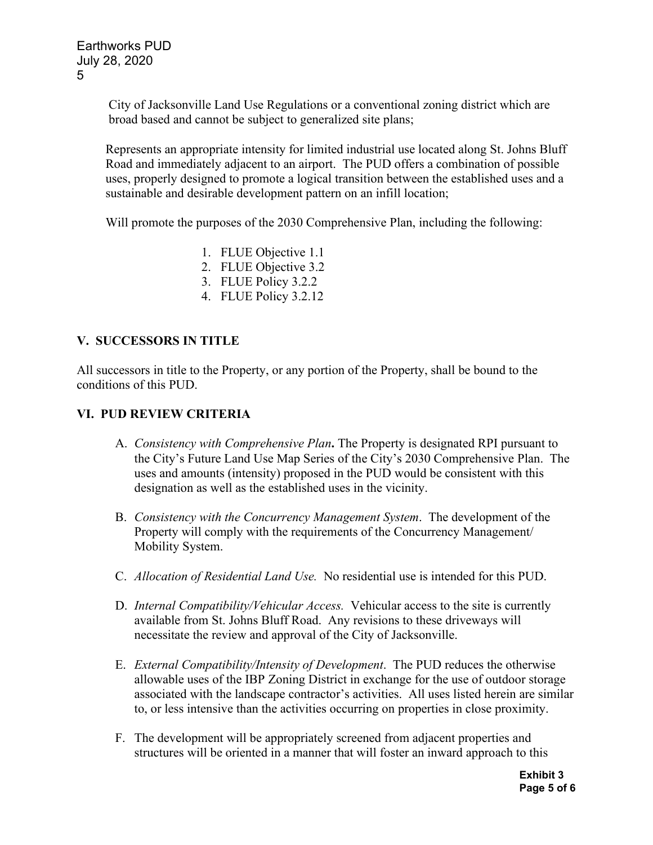City of Jacksonville Land Use Regulations or a conventional zoning district which are broad based and cannot be subject to generalized site plans;

Represents an appropriate intensity for limited industrial use located along St. Johns Bluff Road and immediately adjacent to an airport. The PUD offers a combination of possible uses, properly designed to promote a logical transition between the established uses and a sustainable and desirable development pattern on an infill location;

Will promote the purposes of the 2030 Comprehensive Plan, including the following:

- 1. FLUE Objective 1.1
- 2. FLUE Objective 3.2
- 3. FLUE Policy 3.2.2
- 4. FLUE Policy 3.2.12

## **V. SUCCESSORS IN TITLE**

All successors in title to the Property, or any portion of the Property, shall be bound to the conditions of this PUD.

## **VI. PUD REVIEW CRITERIA**

- A. *Consistency with Comprehensive Plan***.** The Property is designated RPI pursuant to the City's Future Land Use Map Series of the City's 2030 Comprehensive Plan. The uses and amounts (intensity) proposed in the PUD would be consistent with this designation as well as the established uses in the vicinity.
- B. *Consistency with the Concurrency Management System*. The development of the Property will comply with the requirements of the Concurrency Management/ Mobility System.
- C. *Allocation of Residential Land Use.* No residential use is intended for this PUD.
- D. *Internal Compatibility/Vehicular Access.* Vehicular access to the site is currently available from St. Johns Bluff Road. Any revisions to these driveways will necessitate the review and approval of the City of Jacksonville.
- E. *External Compatibility/Intensity of Development*. The PUD reduces the otherwise allowable uses of the IBP Zoning District in exchange for the use of outdoor storage associated with the landscape contractor's activities. All uses listed herein are similar to, or less intensive than the activities occurring on properties in close proximity.
- F. The development will be appropriately screened from adjacent properties and structures will be oriented in a manner that will foster an inward approach to this